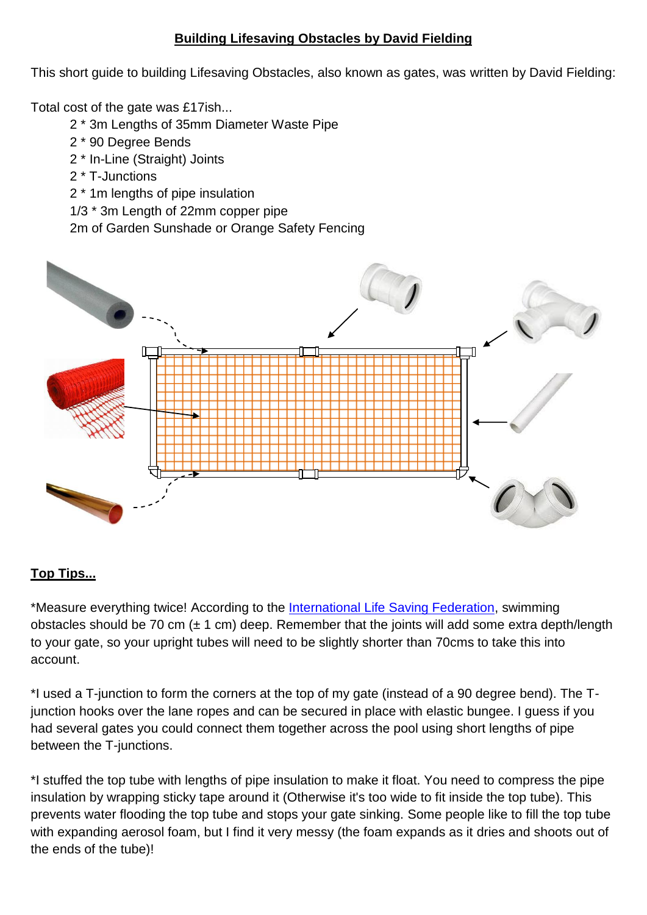## **Building Lifesaving Obstacles by David Fielding**

This short guide to building Lifesaving Obstacles, also known as gates, was written by David Fielding:

Total cost of the gate was £17ish...

- 2 \* 3m Lengths of 35mm Diameter Waste Pipe
- 2 \* 90 Degree Bends
- 2 \* In-Line (Straight) Joints
- 2 \* T-Junctions
- 2 \* 1m lengths of pipe insulation
- 1/3 \* 3m Length of 22mm copper pipe

2m of Garden Sunshade or Orange Safety Fencing



## **Top Tips...**

\*Measure everything twice! According to the [International Life Saving Federation,](http://www.ilsf.org/) swimming obstacles should be 70 cm  $(\pm 1 \text{ cm})$  deep. Remember that the joints will add some extra depth/length to your gate, so your upright tubes will need to be slightly shorter than 70cms to take this into account.

\*I used a T-junction to form the corners at the top of my gate (instead of a 90 degree bend). The Tjunction hooks over the lane ropes and can be secured in place with elastic bungee. I guess if you had several gates you could connect them together across the pool using short lengths of pipe between the T-junctions.

\*I stuffed the top tube with lengths of pipe insulation to make it float. You need to compress the pipe insulation by wrapping sticky tape around it (Otherwise it's too wide to fit inside the top tube). This prevents water flooding the top tube and stops your gate sinking. Some people like to fill the top tube with expanding aerosol foam, but I find it very messy (the foam expands as it dries and shoots out of the ends of the tube)!